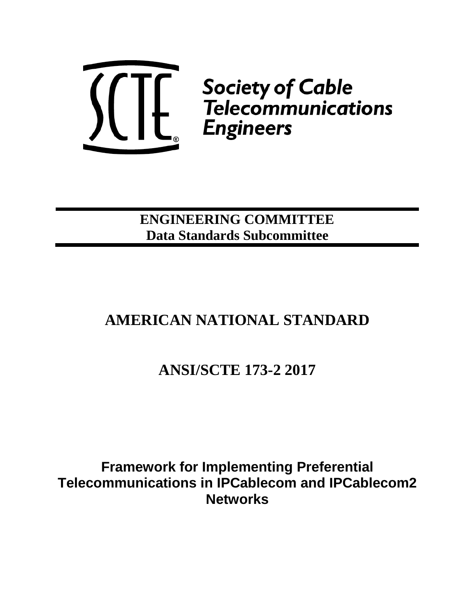

**ENGINEERING COMMITTEE Data Standards Subcommittee**

# **AMERICAN NATIONAL STANDARD**

# **ANSI/SCTE 173-2 2017**

**Framework for Implementing Preferential Telecommunications in IPCablecom and IPCablecom2 Networks**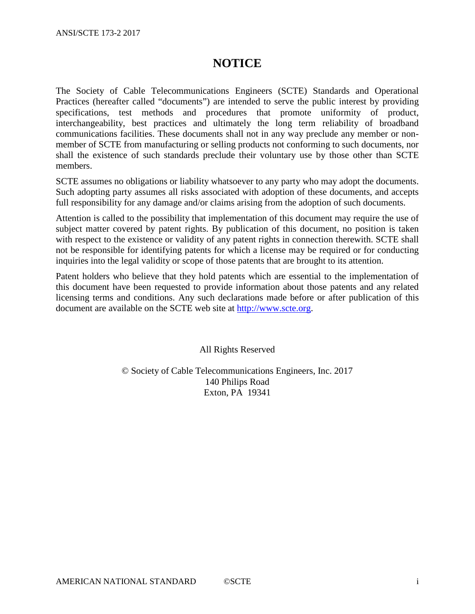### **NOTICE**

The Society of Cable Telecommunications Engineers (SCTE) Standards and Operational Practices (hereafter called "documents") are intended to serve the public interest by providing specifications, test methods and procedures that promote uniformity of product, interchangeability, best practices and ultimately the long term reliability of broadband communications facilities. These documents shall not in any way preclude any member or nonmember of SCTE from manufacturing or selling products not conforming to such documents, nor shall the existence of such standards preclude their voluntary use by those other than SCTE members.

SCTE assumes no obligations or liability whatsoever to any party who may adopt the documents. Such adopting party assumes all risks associated with adoption of these documents, and accepts full responsibility for any damage and/or claims arising from the adoption of such documents.

Attention is called to the possibility that implementation of this document may require the use of subject matter covered by patent rights. By publication of this document, no position is taken with respect to the existence or validity of any patent rights in connection therewith. SCTE shall not be responsible for identifying patents for which a license may be required or for conducting inquiries into the legal validity or scope of those patents that are brought to its attention.

Patent holders who believe that they hold patents which are essential to the implementation of this document have been requested to provide information about those patents and any related licensing terms and conditions. Any such declarations made before or after publication of this document are available on the SCTE web site at [http://www.scte.org.](http://www.scte.org/)

All Rights Reserved

© Society of Cable Telecommunications Engineers, Inc. 2017 140 Philips Road Exton, PA 19341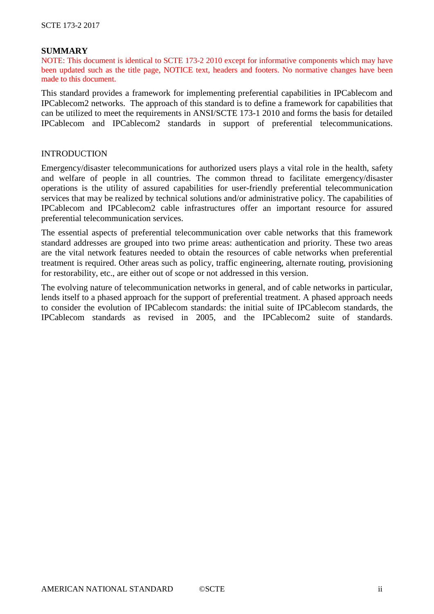#### **SUMMARY**

NOTE: This document is identical to SCTE 173-2 2010 except for informative components which may have been updated such as the title page, NOTICE text, headers and footers. No normative changes have been made to this document.

This standard provides a framework for implementing preferential capabilities in IPCablecom and IPCablecom2 networks. The approach of this standard is to define a framework for capabilities that can be utilized to meet the requirements in ANSI/SCTE 173-1 2010 and forms the basis for detailed IPCablecom and IPCablecom2 standards in support of preferential telecommunications.

#### INTRODUCTION

Emergency/disaster telecommunications for authorized users plays a vital role in the health, safety and welfare of people in all countries. The common thread to facilitate emergency/disaster operations is the utility of assured capabilities for user-friendly preferential telecommunication services that may be realized by technical solutions and/or administrative policy. The capabilities of IPCablecom and IPCablecom2 cable infrastructures offer an important resource for assured preferential telecommunication services.

The essential aspects of preferential telecommunication over cable networks that this framework standard addresses are grouped into two prime areas: authentication and priority. These two areas are the vital network features needed to obtain the resources of cable networks when preferential treatment is required. Other areas such as policy, traffic engineering, alternate routing, provisioning for restorability, etc., are either out of scope or not addressed in this version.

The evolving nature of telecommunication networks in general, and of cable networks in particular, lends itself to a phased approach for the support of preferential treatment. A phased approach needs to consider the evolution of IPCablecom standards: the initial suite of IPCablecom standards, the IPCablecom standards as revised in 2005, and the IPCablecom2 suite of standards.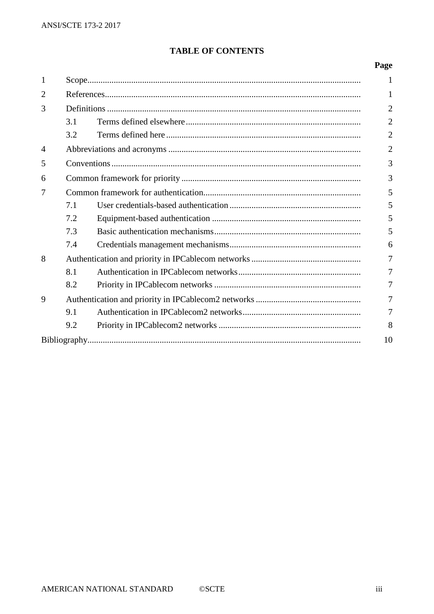### **TABLE OF CONTENTS**

### Page

| 1              |     |  | 1              |  |  |
|----------------|-----|--|----------------|--|--|
| $\overline{2}$ |     |  |                |  |  |
| 3              |     |  |                |  |  |
|                | 3.1 |  | $\overline{2}$ |  |  |
|                | 3.2 |  | 2              |  |  |
| $\overline{4}$ |     |  |                |  |  |
| 5              |     |  |                |  |  |
| 6              |     |  |                |  |  |
| $\overline{7}$ |     |  |                |  |  |
|                | 7.1 |  | 5              |  |  |
|                | 7.2 |  | 5              |  |  |
|                | 7.3 |  | 5              |  |  |
|                | 7.4 |  | 6              |  |  |
| 8              |     |  |                |  |  |
|                | 8.1 |  | 7              |  |  |
|                | 8.2 |  | 7              |  |  |
| 9              |     |  |                |  |  |
|                | 9.1 |  |                |  |  |
|                | 9.2 |  | 8              |  |  |
|                |     |  | 10             |  |  |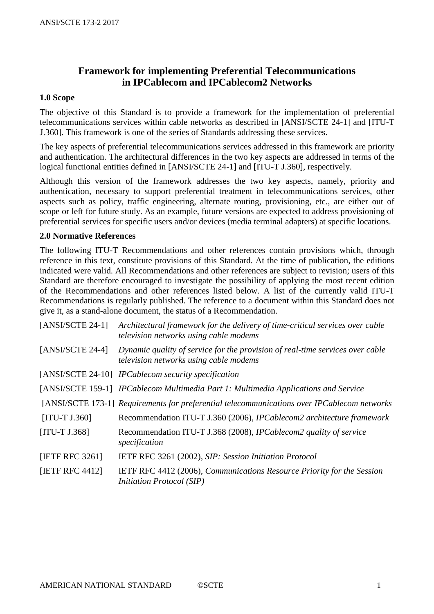### **Framework for implementing Preferential Telecommunications in IPCablecom and IPCablecom2 Networks**

### **1.0 Scope**

The objective of this Standard is to provide a framework for the implementation of preferential telecommunications services within cable networks as described in [ANSI/SCTE 24-1] and [ITU-T J.360]. This framework is one of the series of Standards addressing these services.

The key aspects of preferential telecommunications services addressed in this framework are priority and authentication. The architectural differences in the two key aspects are addressed in terms of the logical functional entities defined in [ANSI/SCTE 24-1] and [ITU-T J.360], respectively.

Although this version of the framework addresses the two key aspects, namely, priority and authentication, necessary to support preferential treatment in telecommunications services, other aspects such as policy, traffic engineering, alternate routing, provisioning, etc., are either out of scope or left for future study. As an example, future versions are expected to address provisioning of preferential services for specific users and/or devices (media terminal adapters) at specific locations.

### **2.0 Normative References**

The following ITU-T Recommendations and other references contain provisions which, through reference in this text, constitute provisions of this Standard. At the time of publication, the editions indicated were valid. All Recommendations and other references are subject to revision; users of this Standard are therefore encouraged to investigate the possibility of applying the most recent edition of the Recommendations and other references listed below. A list of the currently valid ITU-T Recommendations is regularly published. The reference to a document within this Standard does not give it, as a stand-alone document, the status of a Recommendation.

| $[ANSI/SCTE 24-1]$ | Architectural framework for the delivery of time-critical services over cable<br>television networks using cable modems |
|--------------------|-------------------------------------------------------------------------------------------------------------------------|
| $[ANSI/SCTE 24-4]$ | Dynamic quality of service for the provision of real-time services over cable<br>television networks using cable modems |
|                    | [ANSI/SCTE 24-10] IPCablecom security specification                                                                     |
|                    | [ANSI/SCTE 159-1] IPCablecom Multimedia Part 1: Multimedia Applications and Service                                     |
|                    | [ANSI/SCTE 173-1] Requirements for preferential telecommunications over IPCablecom networks                             |
| $[ITU-T J.360]$    | Recommendation ITU-T J.360 (2006), IPCablecom2 architecture framework                                                   |
| $[ITU-T J.368]$    | Recommendation ITU-T J.368 (2008), IPCablecom2 quality of service<br>specification                                      |
| [IETF RFC 3261]    | IETF RFC 3261 (2002), SIP: Session Initiation Protocol                                                                  |
| [IETF RFC 4412]    | IETF RFC 4412 (2006), Communications Resource Priority for the Session<br><i>Initiation Protocol (SIP)</i>              |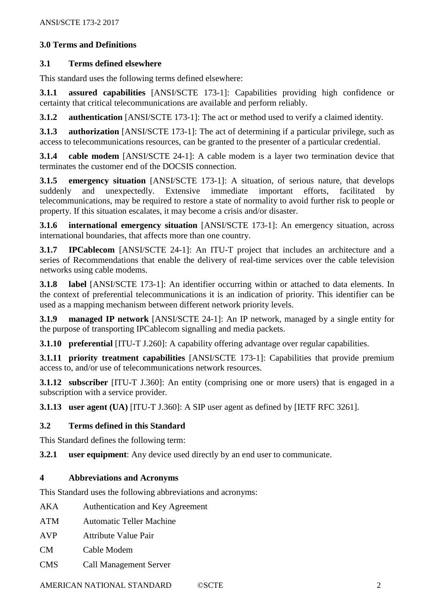### **3.0 Terms and Definitions**

### **3.1 Terms defined elsewhere**

This standard uses the following terms defined elsewhere:

**3.1.1 assured capabilities** [ANSI/SCTE 173-1]: Capabilities providing high confidence or certainty that critical telecommunications are available and perform reliably.

**3.1.2 authentication** [ANSI/SCTE 173-1]: The act or method used to verify a claimed identity.

**3.1.3 authorization** [ANSI/SCTE 173-1]: The act of determining if a particular privilege, such as access to telecommunications resources, can be granted to the presenter of a particular credential.

**3.1.4 cable modem** [ANSI/SCTE 24-1]: A cable modem is a layer two termination device that terminates the customer end of the DOCSIS connection.

**3.1.5 emergency situation** [ANSI/SCTE 173-1]: A situation, of serious nature, that develops suddenly and unexpectedly. Extensive immediate important efforts, facilitated by telecommunications, may be required to restore a state of normality to avoid further risk to people or property. If this situation escalates, it may become a crisis and/or disaster.

**3.1.6 international emergency situation** [ANSI/SCTE 173-1]: An emergency situation, across international boundaries, that affects more than one country.

**3.1.7 IPCablecom** [ANSI/SCTE 24-1]: An ITU-T project that includes an architecture and a series of Recommendations that enable the delivery of real-time services over the cable television networks using cable modems.

**3.1.8 label** [ANSI/SCTE 173-1]: An identifier occurring within or attached to data elements. In the context of preferential telecommunications it is an indication of priority. This identifier can be used as a mapping mechanism between different network priority levels.

**3.1.9 managed IP network** [ANSI/SCTE 24-1]: An IP network, managed by a single entity for the purpose of transporting IPCablecom signalling and media packets.

**3.1.10 preferential** [ITU-T J.260]: A capability offering advantage over regular capabilities.

**3.1.11 priority treatment capabilities** [ANSI/SCTE 173-1]: Capabilities that provide premium access to, and/or use of telecommunications network resources.

**3.1.12 subscriber** [ITU-T J.360]: An entity (comprising one or more users) that is engaged in a subscription with a service provider.

**3.1.13 user agent (UA)** [ITU-T J.360]: A SIP user agent as defined by [IETF RFC 3261].

### **3.2 Terms defined in this Standard**

This Standard defines the following term:

**3.2.1 user equipment**: Any device used directly by an end user to communicate.

### **4 Abbreviations and Acronyms**

This Standard uses the following abbreviations and acronyms:

- AKA Authentication and Key Agreement
- ATM Automatic Teller Machine
- AVP Attribute Value Pair
- CM Cable Modem
- CMS Call Management Server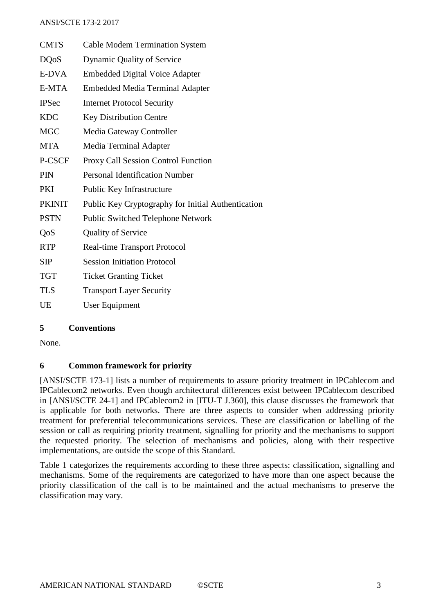| <b>CMTS</b>   | <b>Cable Modem Termination System</b>              |
|---------------|----------------------------------------------------|
| <b>DQoS</b>   | Dynamic Quality of Service                         |
| E-DVA         | <b>Embedded Digital Voice Adapter</b>              |
| E-MTA         | <b>Embedded Media Terminal Adapter</b>             |
| <b>IPSec</b>  | <b>Internet Protocol Security</b>                  |
| <b>KDC</b>    | <b>Key Distribution Centre</b>                     |
| <b>MGC</b>    | Media Gateway Controller                           |
| <b>MTA</b>    | Media Terminal Adapter                             |
| P-CSCF        | <b>Proxy Call Session Control Function</b>         |
| <b>PIN</b>    | <b>Personal Identification Number</b>              |
| PKI           | Public Key Infrastructure                          |
| <b>PKINIT</b> | Public Key Cryptography for Initial Authentication |
| <b>PSTN</b>   | Public Switched Telephone Network                  |
| QoS           | <b>Quality of Service</b>                          |
| <b>RTP</b>    | Real-time Transport Protocol                       |
| <b>SIP</b>    | <b>Session Initiation Protocol</b>                 |
| <b>TGT</b>    | <b>Ticket Granting Ticket</b>                      |
| <b>TLS</b>    | <b>Transport Layer Security</b>                    |
| UE            | User Equipment                                     |

### **5 Conventions**

None.

### **6 Common framework for priority**

[ANSI/SCTE 173-1] lists a number of requirements to assure priority treatment in IPCablecom and IPCablecom2 networks. Even though architectural differences exist between IPCablecom described in [ANSI/SCTE 24-1] and IPCablecom2 in [ITU-T J.360], this clause discusses the framework that is applicable for both networks. There are three aspects to consider when addressing priority treatment for preferential telecommunications services. These are classification or labelling of the session or call as requiring priority treatment, signalling for priority and the mechanisms to support the requested priority. The selection of mechanisms and policies, along with their respective implementations, are outside the scope of this Standard.

Table 1 categorizes the requirements according to these three aspects: classification, signalling and mechanisms. Some of the requirements are categorized to have more than one aspect because the priority classification of the call is to be maintained and the actual mechanisms to preserve the classification may vary.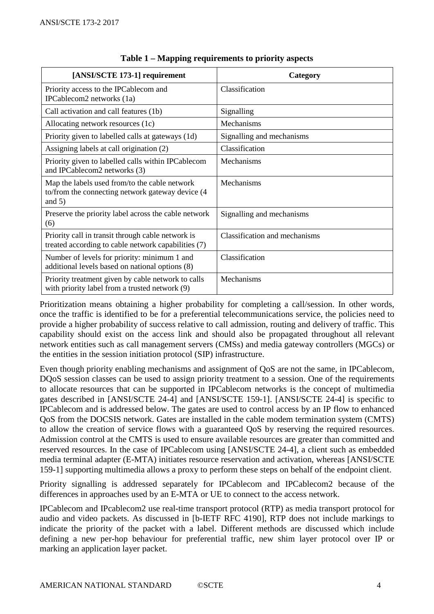| [ANSI/SCTE 173-1] requirement                                                                                  | Category                      |
|----------------------------------------------------------------------------------------------------------------|-------------------------------|
| Priority access to the IPCablecom and<br>IPCablecom2 networks (1a)                                             | Classification                |
| Call activation and call features (1b)                                                                         | Signalling                    |
| Allocating network resources (1c)                                                                              | Mechanisms                    |
| Priority given to labelled calls at gateways (1d)                                                              | Signalling and mechanisms     |
| Assigning labels at call origination (2)                                                                       | Classification                |
| Priority given to labelled calls within IPCablecom<br>and IPCablecom2 networks (3)                             | Mechanisms                    |
| Map the labels used from/to the cable network<br>to/from the connecting network gateway device (4)<br>and $5)$ | Mechanisms                    |
| Preserve the priority label across the cable network<br>(6)                                                    | Signalling and mechanisms     |
| Priority call in transit through cable network is<br>treated according to cable network capabilities (7)       | Classification and mechanisms |
| Number of levels for priority: minimum 1 and<br>additional levels based on national options (8)                | Classification                |
| Priority treatment given by cable network to calls<br>with priority label from a trusted network (9)           | Mechanisms                    |

### **Table 1 – Mapping requirements to priority aspects**

Prioritization means obtaining a higher probability for completing a call/session. In other words, once the traffic is identified to be for a preferential telecommunications service, the policies need to provide a higher probability of success relative to call admission, routing and delivery of traffic. This capability should exist on the access link and should also be propagated throughout all relevant network entities such as call management servers (CMSs) and media gateway controllers (MGCs) or the entities in the session initiation protocol (SIP) infrastructure.

Even though priority enabling mechanisms and assignment of QoS are not the same, in IPCablecom, DQoS session classes can be used to assign priority treatment to a session. One of the requirements to allocate resources that can be supported in IPCablecom networks is the concept of multimedia gates described in [ANSI/SCTE 24-4] and [ANSI/SCTE 159-1]. [ANSI/SCTE 24-4] is specific to IPCablecom and is addressed below. The gates are used to control access by an IP flow to enhanced QoS from the DOCSIS network. Gates are installed in the cable modem termination system (CMTS) to allow the creation of service flows with a guaranteed QoS by reserving the required resources. Admission control at the CMTS is used to ensure available resources are greater than committed and reserved resources. In the case of IPCablecom using [ANSI/SCTE 24-4], a client such as embedded media terminal adapter (E-MTA) initiates resource reservation and activation, whereas [ANSI/SCTE 159-1] supporting multimedia allows a proxy to perform these steps on behalf of the endpoint client.

Priority signalling is addressed separately for IPCablecom and IPCablecom2 because of the differences in approaches used by an E-MTA or UE to connect to the access network.

IPCablecom and IPcablecom2 use real-time transport protocol (RTP) as media transport protocol for audio and video packets. As discussed in [b-IETF RFC 4190], RTP does not include markings to indicate the priority of the packet with a label. Different methods are discussed which include defining a new per-hop behaviour for preferential traffic, new shim layer protocol over IP or marking an application layer packet.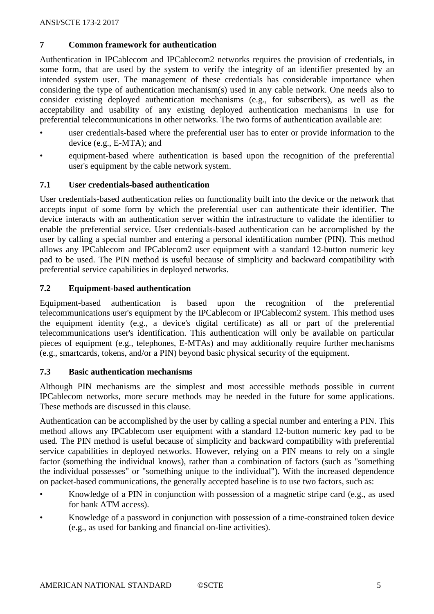### **7 Common framework for authentication**

Authentication in IPCablecom and IPCablecom2 networks requires the provision of credentials, in some form, that are used by the system to verify the integrity of an identifier presented by an intended system user. The management of these credentials has considerable importance when considering the type of authentication mechanism(s) used in any cable network. One needs also to consider existing deployed authentication mechanisms (e.g., for subscribers), as well as the acceptability and usability of any existing deployed authentication mechanisms in use for preferential telecommunications in other networks. The two forms of authentication available are:

- user credentials-based where the preferential user has to enter or provide information to the device (e.g., E-MTA); and
- equipment-based where authentication is based upon the recognition of the preferential user's equipment by the cable network system.

### **7.1 User credentials-based authentication**

User credentials-based authentication relies on functionality built into the device or the network that accepts input of some form by which the preferential user can authenticate their identifier. The device interacts with an authentication server within the infrastructure to validate the identifier to enable the preferential service. User credentials-based authentication can be accomplished by the user by calling a special number and entering a personal identification number (PIN). This method allows any IPCablecom and IPCablecom2 user equipment with a standard 12-button numeric key pad to be used. The PIN method is useful because of simplicity and backward compatibility with preferential service capabilities in deployed networks.

### **7.2 Equipment-based authentication**

Equipment-based authentication is based upon the recognition of the preferential telecommunications user's equipment by the IPCablecom or IPCablecom2 system. This method uses the equipment identity (e.g., a device's digital certificate) as all or part of the preferential telecommunications user's identification. This authentication will only be available on particular pieces of equipment (e.g., telephones, E-MTAs) and may additionally require further mechanisms (e.g., smartcards, tokens, and/or a PIN) beyond basic physical security of the equipment.

### **7.3 Basic authentication mechanisms**

Although PIN mechanisms are the simplest and most accessible methods possible in current IPCablecom networks, more secure methods may be needed in the future for some applications. These methods are discussed in this clause.

Authentication can be accomplished by the user by calling a special number and entering a PIN. This method allows any IPCablecom user equipment with a standard 12-button numeric key pad to be used. The PIN method is useful because of simplicity and backward compatibility with preferential service capabilities in deployed networks. However, relying on a PIN means to rely on a single factor (something the individual knows), rather than a combination of factors (such as "something the individual possesses" or "something unique to the individual"). With the increased dependence on packet-based communications, the generally accepted baseline is to use two factors, such as:

- Knowledge of a PIN in conjunction with possession of a magnetic stripe card (e.g., as used for bank ATM access).
- Knowledge of a password in conjunction with possession of a time-constrained token device (e.g., as used for banking and financial on-line activities).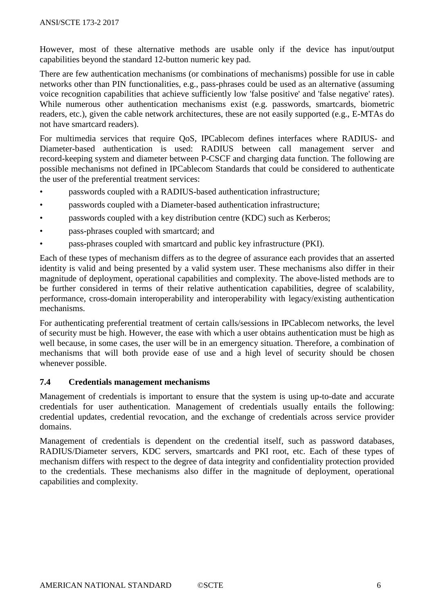However, most of these alternative methods are usable only if the device has input/output capabilities beyond the standard 12-button numeric key pad.

There are few authentication mechanisms (or combinations of mechanisms) possible for use in cable networks other than PIN functionalities, e.g., pass-phrases could be used as an alternative (assuming voice recognition capabilities that achieve sufficiently low 'false positive' and 'false negative' rates). While numerous other authentication mechanisms exist (e.g. passwords, smartcards, biometric readers, etc.), given the cable network architectures, these are not easily supported (e.g., E-MTAs do not have smartcard readers).

For multimedia services that require QoS, IPCablecom defines interfaces where RADIUS- and Diameter-based authentication is used: RADIUS between call management server and record-keeping system and diameter between P-CSCF and charging data function. The following are possible mechanisms not defined in IPCablecom Standards that could be considered to authenticate the user of the preferential treatment services:

- passwords coupled with a RADIUS-based authentication infrastructure;
- passwords coupled with a Diameter-based authentication infrastructure;
- passwords coupled with a key distribution centre (KDC) such as Kerberos;
- pass-phrases coupled with smartcard; and
- pass-phrases coupled with smartcard and public key infrastructure (PKI).

Each of these types of mechanism differs as to the degree of assurance each provides that an asserted identity is valid and being presented by a valid system user. These mechanisms also differ in their magnitude of deployment, operational capabilities and complexity. The above-listed methods are to be further considered in terms of their relative authentication capabilities, degree of scalability, performance, cross-domain interoperability and interoperability with legacy/existing authentication mechanisms.

For authenticating preferential treatment of certain calls/sessions in IPCablecom networks, the level of security must be high. However, the ease with which a user obtains authentication must be high as well because, in some cases, the user will be in an emergency situation. Therefore, a combination of mechanisms that will both provide ease of use and a high level of security should be chosen whenever possible.

### **7.4 Credentials management mechanisms**

Management of credentials is important to ensure that the system is using up-to-date and accurate credentials for user authentication. Management of credentials usually entails the following: credential updates, credential revocation, and the exchange of credentials across service provider domains.

Management of credentials is dependent on the credential itself, such as password databases, RADIUS/Diameter servers, KDC servers, smartcards and PKI root, etc. Each of these types of mechanism differs with respect to the degree of data integrity and confidentiality protection provided to the credentials. These mechanisms also differ in the magnitude of deployment, operational capabilities and complexity.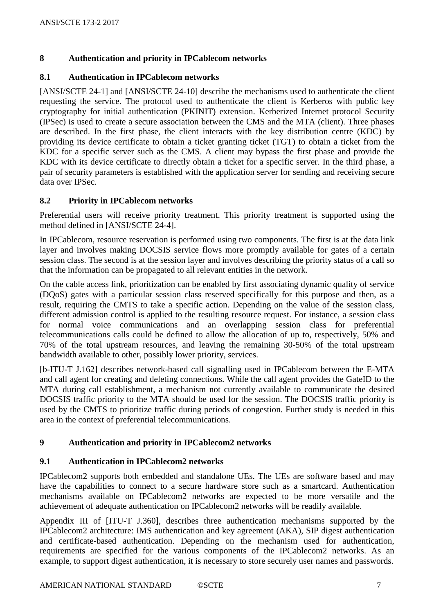### **8 Authentication and priority in IPCablecom networks**

### **8.1 Authentication in IPCablecom networks**

[ANSI/SCTE 24-1] and [ANSI/SCTE 24-10] describe the mechanisms used to authenticate the client requesting the service. The protocol used to authenticate the client is Kerberos with public key cryptography for initial authentication (PKINIT) extension. Kerberized Internet protocol Security (IPSec) is used to create a secure association between the CMS and the MTA (client). Three phases are described. In the first phase, the client interacts with the key distribution centre (KDC) by providing its device certificate to obtain a ticket granting ticket (TGT) to obtain a ticket from the KDC for a specific server such as the CMS. A client may bypass the first phase and provide the KDC with its device certificate to directly obtain a ticket for a specific server. In the third phase, a pair of security parameters is established with the application server for sending and receiving secure data over IPSec.

### **8.2 Priority in IPCablecom networks**

Preferential users will receive priority treatment. This priority treatment is supported using the method defined in [ANSI/SCTE 24-4].

In IPCablecom, resource reservation is performed using two components. The first is at the data link layer and involves making DOCSIS service flows more promptly available for gates of a certain session class. The second is at the session layer and involves describing the priority status of a call so that the information can be propagated to all relevant entities in the network.

On the cable access link, prioritization can be enabled by first associating dynamic quality of service (DQoS) gates with a particular session class reserved specifically for this purpose and then, as a result, requiring the CMTS to take a specific action. Depending on the value of the session class, different admission control is applied to the resulting resource request. For instance, a session class for normal voice communications and an overlapping session class for preferential telecommunications calls could be defined to allow the allocation of up to, respectively, 50% and 70% of the total upstream resources, and leaving the remaining 30-50% of the total upstream bandwidth available to other, possibly lower priority, services.

[b-ITU-T J.162] describes network-based call signalling used in IPCablecom between the E-MTA and call agent for creating and deleting connections. While the call agent provides the GateID to the MTA during call establishment, a mechanism not currently available to communicate the desired DOCSIS traffic priority to the MTA should be used for the session. The DOCSIS traffic priority is used by the CMTS to prioritize traffic during periods of congestion. Further study is needed in this area in the context of preferential telecommunications.

### **9 Authentication and priority in IPCablecom2 networks**

### **9.1 Authentication in IPCablecom2 networks**

IPCablecom2 supports both embedded and standalone UEs. The UEs are software based and may have the capabilities to connect to a secure hardware store such as a smartcard. Authentication mechanisms available on IPCablecom2 networks are expected to be more versatile and the achievement of adequate authentication on IPCablecom2 networks will be readily available.

Appendix III of [ITU-T J.360], describes three authentication mechanisms supported by the IPCablecom2 architecture: IMS authentication and key agreement (AKA), SIP digest authentication and certificate-based authentication. Depending on the mechanism used for authentication, requirements are specified for the various components of the IPCablecom2 networks. As an example, to support digest authentication, it is necessary to store securely user names and passwords.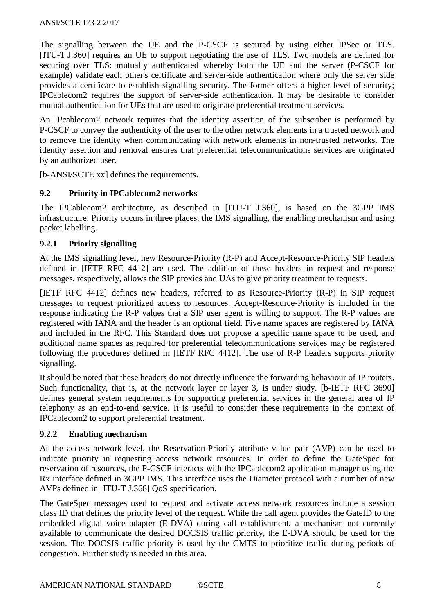The signalling between the UE and the P-CSCF is secured by using either IPSec or TLS. [ITU-T J.360] requires an UE to support negotiating the use of TLS. Two models are defined for securing over TLS: mutually authenticated whereby both the UE and the server (P-CSCF for example) validate each other's certificate and server-side authentication where only the server side provides a certificate to establish signalling security. The former offers a higher level of security; IPCablecom2 requires the support of server-side authentication. It may be desirable to consider mutual authentication for UEs that are used to originate preferential treatment services.

An IPcablecom2 network requires that the identity assertion of the subscriber is performed by P-CSCF to convey the authenticity of the user to the other network elements in a trusted network and to remove the identity when communicating with network elements in non-trusted networks. The identity assertion and removal ensures that preferential telecommunications services are originated by an authorized user.

[b-ANSI/SCTE xx] defines the requirements.

### **9.2 Priority in IPCablecom2 networks**

The IPCablecom2 architecture, as described in [ITU-T J.360], is based on the 3GPP IMS infrastructure. Priority occurs in three places: the IMS signalling, the enabling mechanism and using packet labelling.

### **9.2.1 Priority signalling**

At the IMS signalling level, new Resource-Priority (R-P) and Accept-Resource-Priority SIP headers defined in [IETF RFC 4412] are used. The addition of these headers in request and response messages, respectively, allows the SIP proxies and UAs to give priority treatment to requests.

[IETF RFC 4412] defines new headers, referred to as Resource-Priority (R-P) in SIP request messages to request prioritized access to resources. Accept-Resource-Priority is included in the response indicating the R-P values that a SIP user agent is willing to support. The R-P values are registered with IANA and the header is an optional field. Five name spaces are registered by IANA and included in the RFC. This Standard does not propose a specific name space to be used, and additional name spaces as required for preferential telecommunications services may be registered following the procedures defined in [IETF RFC 4412]. The use of R-P headers supports priority signalling.

It should be noted that these headers do not directly influence the forwarding behaviour of IP routers. Such functionality, that is, at the network layer or layer 3, is under study. [b-IETF RFC 3690] defines general system requirements for supporting preferential services in the general area of IP telephony as an end-to-end service. It is useful to consider these requirements in the context of IPCablecom2 to support preferential treatment.

### **9.2.2 Enabling mechanism**

At the access network level, the Reservation-Priority attribute value pair (AVP) can be used to indicate priority in requesting access network resources. In order to define the GateSpec for reservation of resources, the P-CSCF interacts with the IPCablecom2 application manager using the Rx interface defined in 3GPP IMS. This interface uses the Diameter protocol with a number of new AVPs defined in [ITU-T J.368] QoS specification.

The GateSpec messages used to request and activate access network resources include a session class ID that defines the priority level of the request. While the call agent provides the GateID to the embedded digital voice adapter (E-DVA) during call establishment, a mechanism not currently available to communicate the desired DOCSIS traffic priority, the E-DVA should be used for the session. The DOCSIS traffic priority is used by the CMTS to prioritize traffic during periods of congestion. Further study is needed in this area.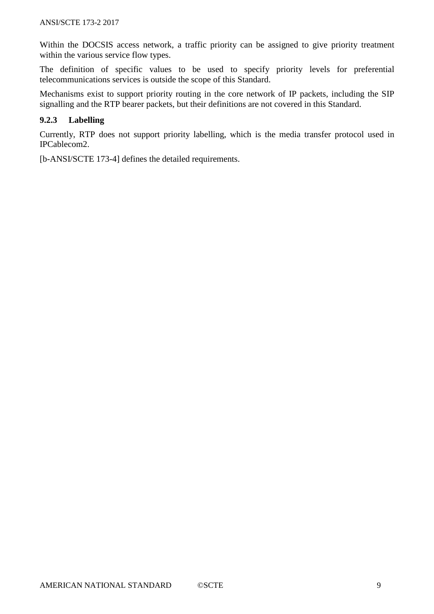Within the DOCSIS access network, a traffic priority can be assigned to give priority treatment within the various service flow types.

The definition of specific values to be used to specify priority levels for preferential telecommunications services is outside the scope of this Standard.

Mechanisms exist to support priority routing in the core network of IP packets, including the SIP signalling and the RTP bearer packets, but their definitions are not covered in this Standard.

### **9.2.3 Labelling**

Currently, RTP does not support priority labelling, which is the media transfer protocol used in IPCablecom2.

[b-ANSI/SCTE 173-4] defines the detailed requirements.